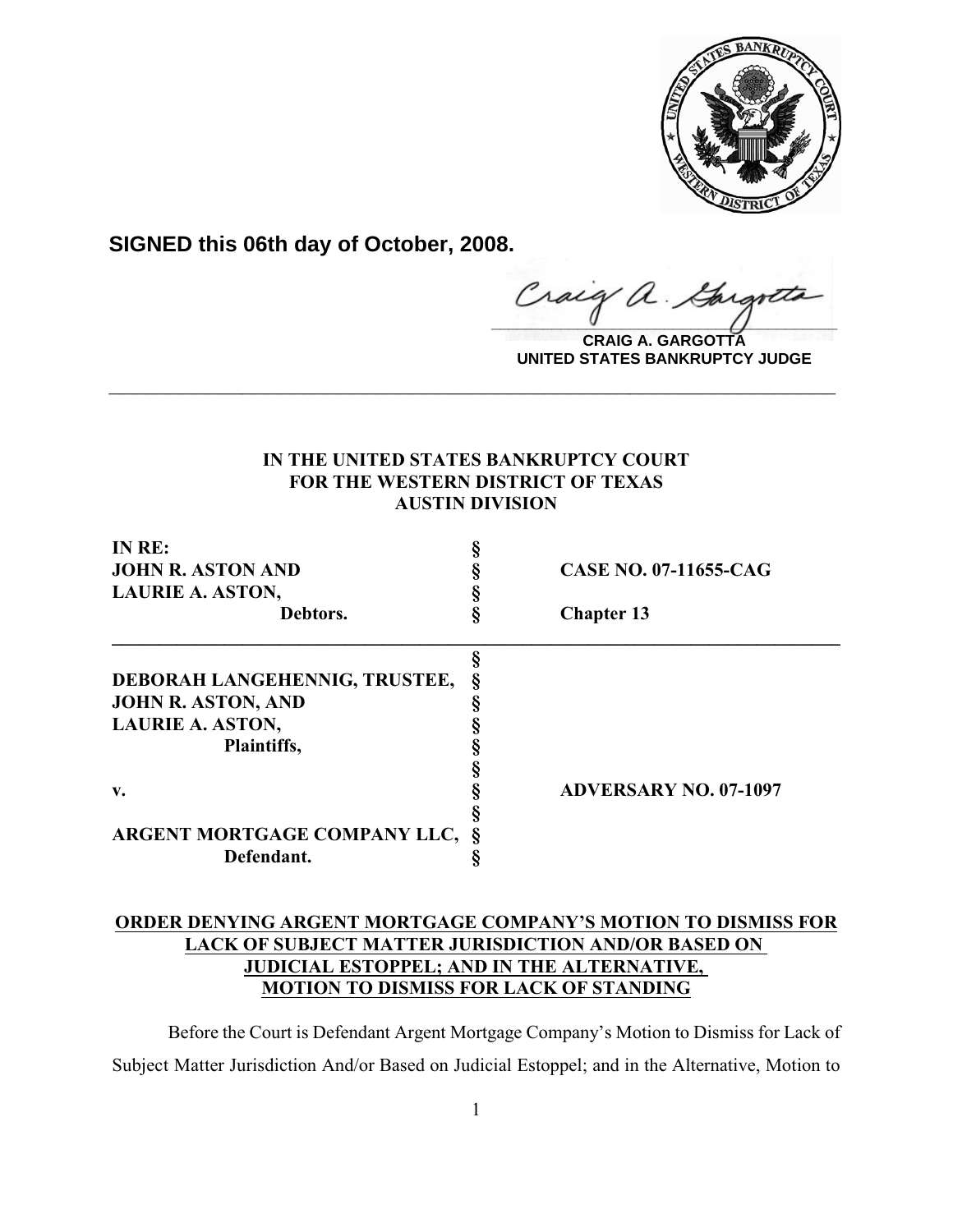

**SIGNED this 06th day of October, 2008.**

 $z$ raig a. Gargote

**CRAIG A. GARGOTTA UNITED STATES BANKRUPTCY JUDGE**

## **IN THE UNITED STATES BANKRUPTCY COURT FOR THE WESTERN DISTRICT OF TEXAS AUSTIN DIVISION**

**\_\_\_\_\_\_\_\_\_\_\_\_\_\_\_\_\_\_\_\_\_\_\_\_\_\_\_\_\_\_\_\_\_\_\_\_\_\_\_\_\_\_\_\_\_\_\_\_\_\_\_\_\_\_\_\_\_\_\_\_**

| IN RE:                        |                              |
|-------------------------------|------------------------------|
| <b>JOHN R. ASTON AND</b>      | CASE NO. 07-11655-CAG        |
| <b>LAURIE A. ASTON,</b>       |                              |
| Debtors.                      | <b>Chapter 13</b>            |
|                               |                              |
| DEBORAH LANGEHENNIG, TRUSTEE, |                              |
| <b>JOHN R. ASTON, AND</b>     |                              |
| <b>LAURIE A. ASTON,</b>       |                              |
| Plaintiffs,                   |                              |
|                               |                              |
| $\mathbf{v}$ .                | <b>ADVERSARY NO. 07-1097</b> |
|                               |                              |
| ARGENT MORTGAGE COMPANY LLC,  |                              |
| Defendant.                    |                              |

# **ORDER DENYING ARGENT MORTGAGE COMPANY'S MOTION TO DISMISS FOR LACK OF SUBJECT MATTER JURISDICTION AND/OR BASED ON JUDICIAL ESTOPPEL; AND IN THE ALTERNATIVE, MOTION TO DISMISS FOR LACK OF STANDING**

Before the Court is Defendant Argent Mortgage Company's Motion to Dismiss for Lack of Subject Matter Jurisdiction And/or Based on Judicial Estoppel; and in the Alternative, Motion to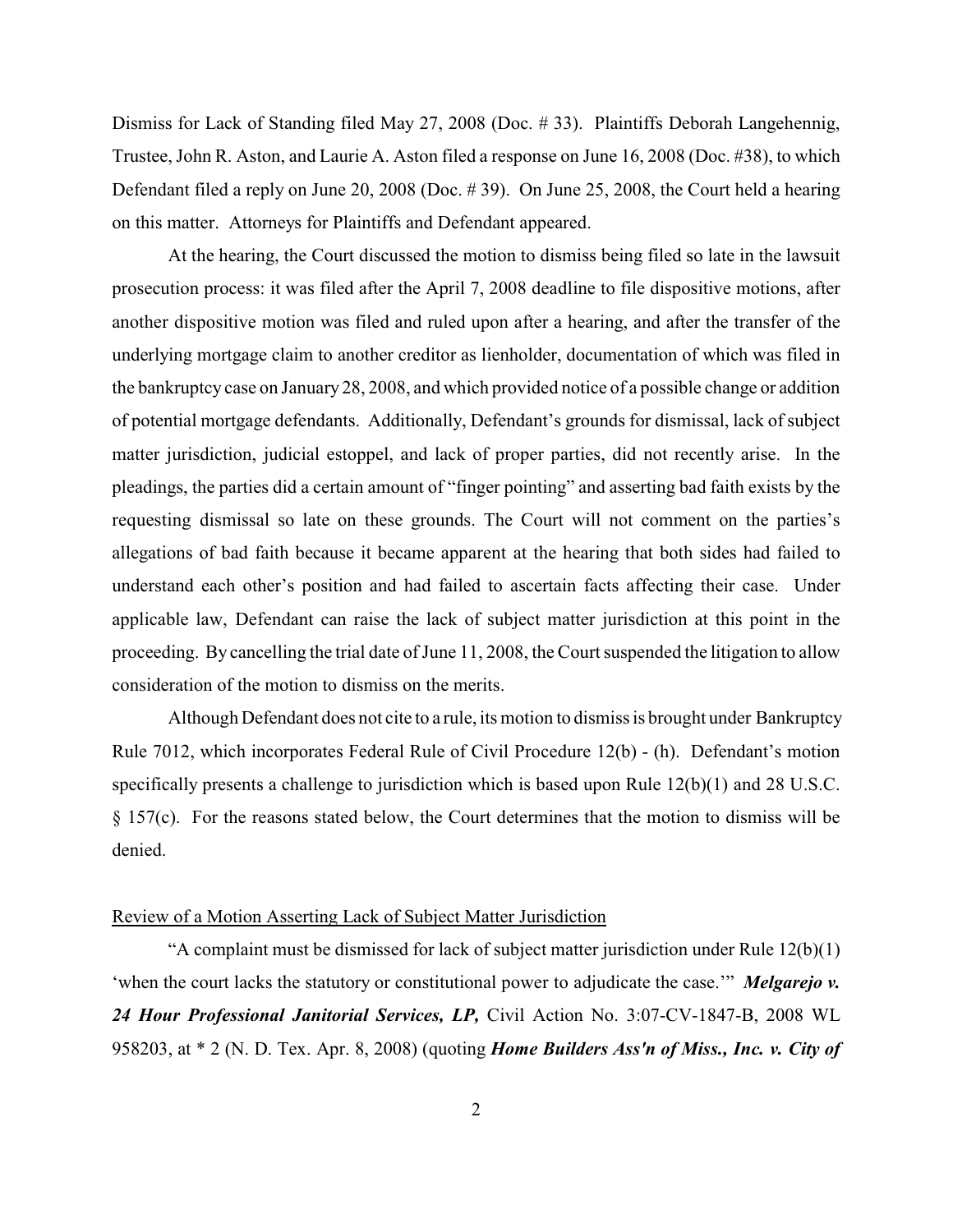Dismiss for Lack of Standing filed May 27, 2008 (Doc. # 33). Plaintiffs Deborah Langehennig, Trustee, John R. Aston, and Laurie A. Aston filed a response on June 16, 2008 (Doc. #38), to which Defendant filed a reply on June 20, 2008 (Doc. # 39). On June 25, 2008, the Court held a hearing on this matter. Attorneys for Plaintiffs and Defendant appeared.

At the hearing, the Court discussed the motion to dismiss being filed so late in the lawsuit prosecution process: it was filed after the April 7, 2008 deadline to file dispositive motions, after another dispositive motion was filed and ruled upon after a hearing, and after the transfer of the underlying mortgage claim to another creditor as lienholder, documentation of which was filed in the bankruptcy case on January 28, 2008, and which provided notice of a possible change or addition of potential mortgage defendants. Additionally, Defendant's grounds for dismissal, lack of subject matter jurisdiction, judicial estoppel, and lack of proper parties, did not recently arise. In the pleadings, the parties did a certain amount of "finger pointing" and asserting bad faith exists by the requesting dismissal so late on these grounds. The Court will not comment on the parties's allegations of bad faith because it became apparent at the hearing that both sides had failed to understand each other's position and had failed to ascertain facts affecting their case. Under applicable law, Defendant can raise the lack of subject matter jurisdiction at this point in the proceeding. By cancelling the trial date of June 11, 2008, the Court suspended the litigation to allow consideration of the motion to dismiss on the merits.

Although Defendant does not cite to a rule, its motion to dismiss is brought under Bankruptcy Rule 7012, which incorporates Federal Rule of Civil Procedure 12(b) - (h). Defendant's motion specifically presents a challenge to jurisdiction which is based upon Rule 12(b)(1) and 28 U.S.C. § 157(c). For the reasons stated below, the Court determines that the motion to dismiss will be denied.

### Review of a Motion Asserting Lack of Subject Matter Jurisdiction

"A complaint must be dismissed for lack of subject matter jurisdiction under Rule  $12(b)(1)$ 'when the court lacks the statutory or constitutional power to adjudicate the case.'" *Melgarejo v. 24 Hour Professional Janitorial Services, LP,* Civil Action No. 3:07-CV-1847-B, 2008 WL 958203, at \* 2 (N. D. Tex. Apr. 8, 2008) (quoting *Home Builders Ass'n of Miss., Inc. v. City of*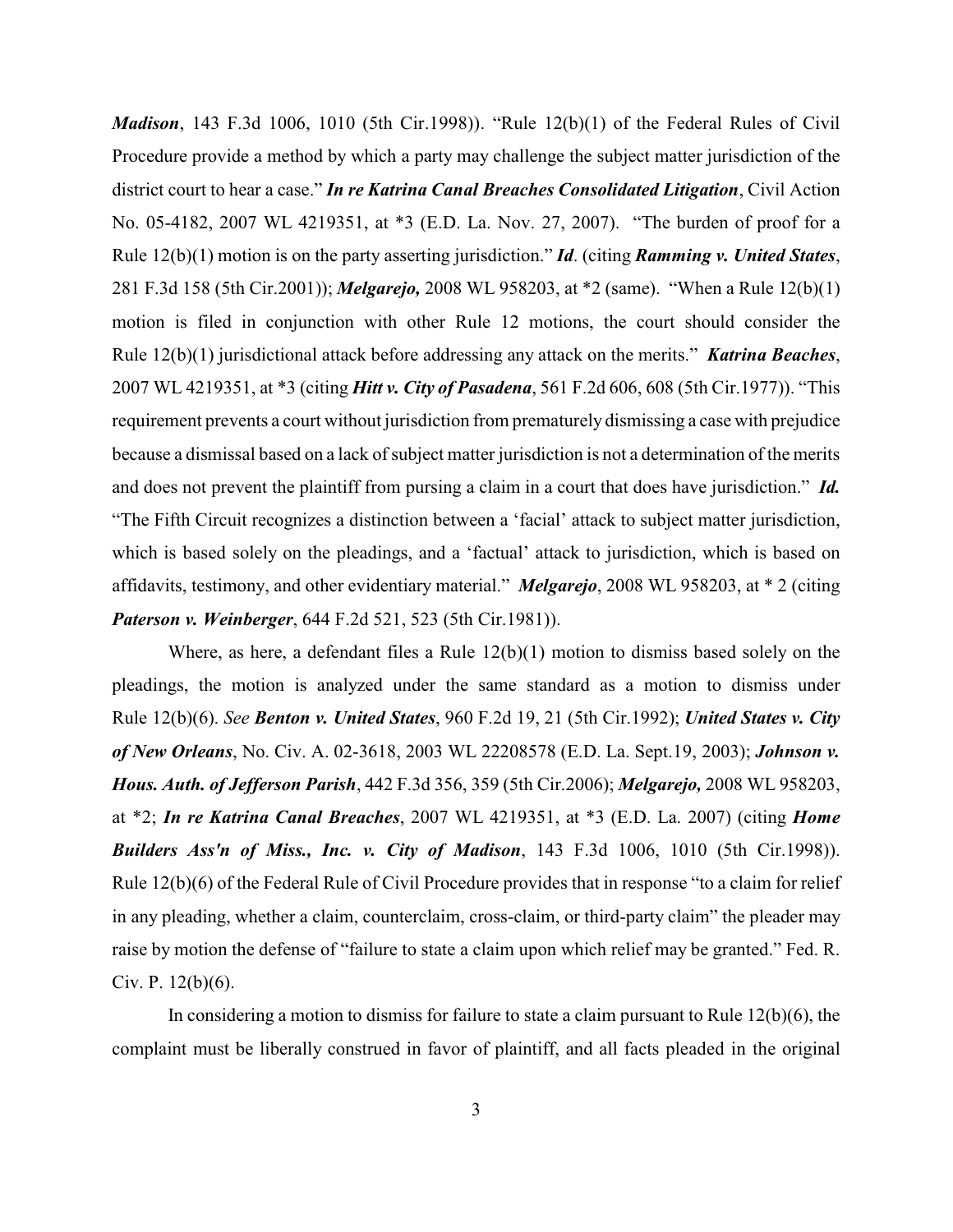*Madison*, 143 F.3d 1006, 1010 (5th Cir.1998)). "Rule 12(b)(1) of the Federal Rules of Civil Procedure provide a method by which a party may challenge the subject matter jurisdiction of the district court to hear a case." *In re Katrina Canal Breaches Consolidated Litigation*, Civil Action No. 05-4182, 2007 WL 4219351, at \*3 (E.D. La. Nov. 27, 2007). "The burden of proof for a Rule 12(b)(1) motion is on the party asserting jurisdiction." *Id*. (citing *Ramming v. United States*, 281 F.3d 158 (5th Cir.2001)); *Melgarejo,* 2008 WL 958203, at \*2 (same). "When a Rule 12(b)(1) motion is filed in conjunction with other Rule 12 motions, the court should consider the Rule 12(b)(1) jurisdictional attack before addressing any attack on the merits." *Katrina Beaches*, 2007 WL 4219351, at \*3 (citing *Hitt v. City of Pasadena*, 561 F.2d 606, 608 (5th Cir.1977)). "This requirement prevents a court without jurisdiction from prematurely dismissing a case with prejudice because a dismissal based on a lack of subject matter jurisdiction is not a determination of the merits and does not prevent the plaintiff from pursing a claim in a court that does have jurisdiction." *Id.* "The Fifth Circuit recognizes a distinction between a 'facial' attack to subject matter jurisdiction, which is based solely on the pleadings, and a 'factual' attack to jurisdiction, which is based on affidavits, testimony, and other evidentiary material." *Melgarejo*, 2008 WL 958203, at \* 2 (citing *Paterson v. Weinberger*, 644 F.2d 521, 523 (5th Cir.1981)).

Where, as here, a defendant files a Rule  $12(b)(1)$  motion to dismiss based solely on the pleadings, the motion is analyzed under the same standard as a motion to dismiss under Rule 12(b)(6). *See Benton v. United States*, 960 F.2d 19, 21 (5th Cir.1992); *United States v. City of New Orleans*, No. Civ. A. 02-3618, 2003 WL 22208578 (E.D. La. Sept.19, 2003); *Johnson v. Hous. Auth. of Jefferson Parish*, 442 F.3d 356, 359 (5th Cir.2006); *Melgarejo,* 2008 WL 958203, at \*2; *In re Katrina Canal Breaches*, 2007 WL 4219351, at \*3 (E.D. La. 2007) (citing *Home Builders Ass'n of Miss., Inc. v. City of Madison*, 143 F.3d 1006, 1010 (5th Cir.1998)). Rule 12(b)(6) of the Federal Rule of Civil Procedure provides that in response "to a claim for relief in any pleading, whether a claim, counterclaim, cross-claim, or third-party claim" the pleader may raise by motion the defense of "failure to state a claim upon which relief may be granted." Fed. R. Civ. P. 12(b)(6).

In considering a motion to dismiss for failure to state a claim pursuant to Rule 12(b)(6), the complaint must be liberally construed in favor of plaintiff, and all facts pleaded in the original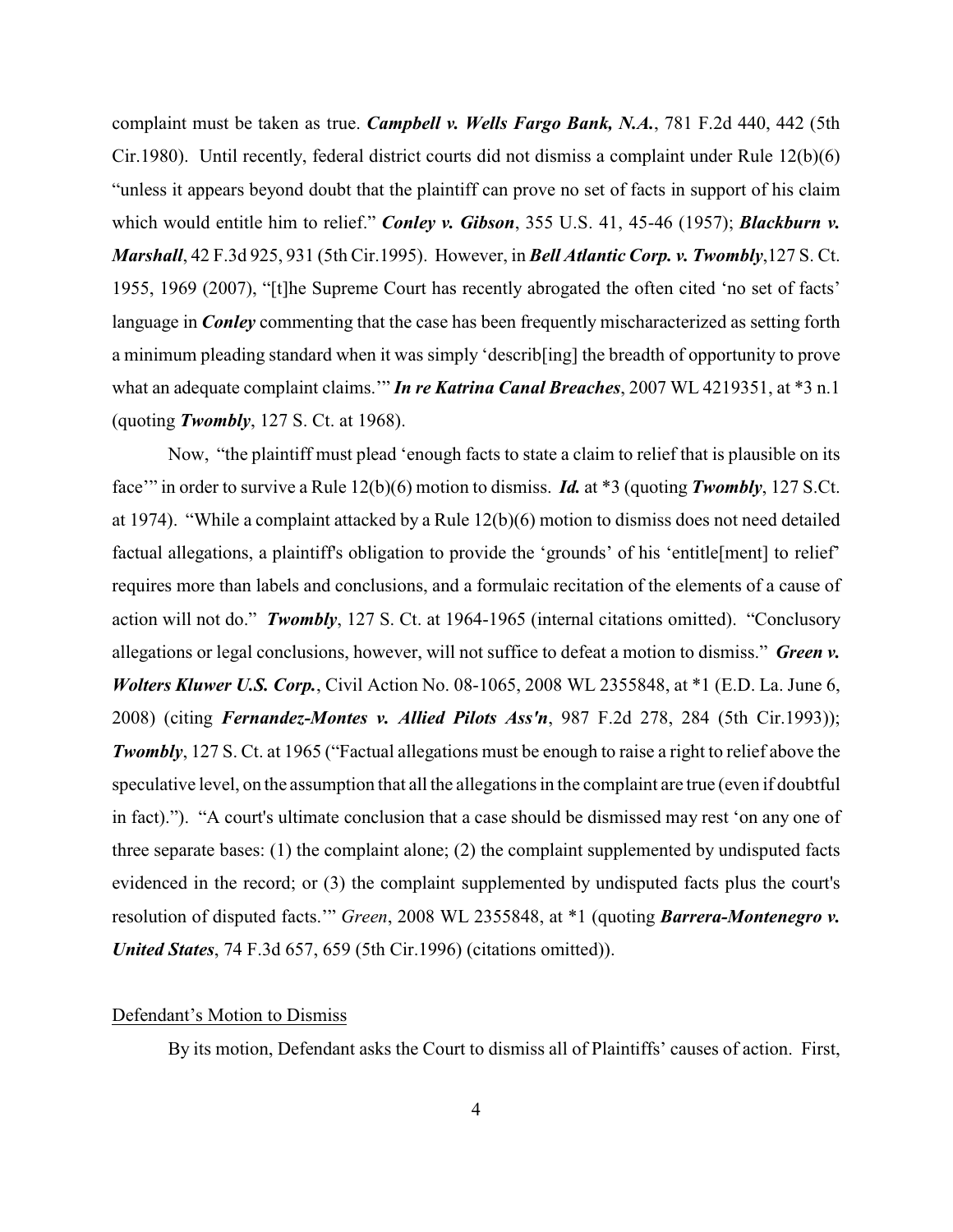complaint must be taken as true. *Campbell v. Wells Fargo Bank, N.A.*, 781 F.2d 440, 442 (5th Cir.1980). Until recently, federal district courts did not dismiss a complaint under Rule 12(b)(6) "unless it appears beyond doubt that the plaintiff can prove no set of facts in support of his claim which would entitle him to relief." *Conley v. Gibson*, 355 U.S. 41, 45-46 (1957); *Blackburn v. Marshall*, 42 F.3d 925, 931 (5th Cir.1995). However, in *Bell Atlantic Corp. v. Twombly*,127 S. Ct. 1955, 1969 (2007), "[t]he Supreme Court has recently abrogated the often cited 'no set of facts' language in *Conley* commenting that the case has been frequently mischaracterized as setting forth a minimum pleading standard when it was simply 'describ[ing] the breadth of opportunity to prove what an adequate complaint claims.'" *In re Katrina Canal Breaches*, 2007 WL 4219351, at \*3 n.1 (quoting *Twombly*, 127 S. Ct. at 1968).

Now, "the plaintiff must plead 'enough facts to state a claim to relief that is plausible on its face'" in order to survive a Rule 12(b)(6) motion to dismiss. *Id.* at \*3 (quoting *Twombly*, 127 S.Ct. at 1974). "While a complaint attacked by a Rule 12(b)(6) motion to dismiss does not need detailed factual allegations, a plaintiff's obligation to provide the 'grounds' of his 'entitle[ment] to relief' requires more than labels and conclusions, and a formulaic recitation of the elements of a cause of action will not do." *Twombly*, 127 S. Ct. at 1964-1965 (internal citations omitted). "Conclusory allegations or legal conclusions, however, will not suffice to defeat a motion to dismiss." *Green v. Wolters Kluwer U.S. Corp.*, Civil Action No. 08-1065, 2008 WL 2355848, at \*1 (E.D. La. June 6, 2008) (citing *Fernandez-Montes v. Allied Pilots Ass'n*, 987 F.2d 278, 284 (5th Cir.1993)); *Twombly*, 127 S. Ct. at 1965 ("Factual allegations must be enough to raise a right to relief above the speculative level, on the assumption that all the allegations in the complaint are true (even if doubtful in fact)."). "A court's ultimate conclusion that a case should be dismissed may rest 'on any one of three separate bases: (1) the complaint alone; (2) the complaint supplemented by undisputed facts evidenced in the record; or (3) the complaint supplemented by undisputed facts plus the court's resolution of disputed facts.'" *Green*, 2008 WL 2355848, at \*1 (quoting *Barrera-Montenegro v. United States*, 74 F.3d 657, 659 (5th Cir.1996) (citations omitted)).

#### Defendant's Motion to Dismiss

By its motion, Defendant asks the Court to dismiss all of Plaintiffs' causes of action. First,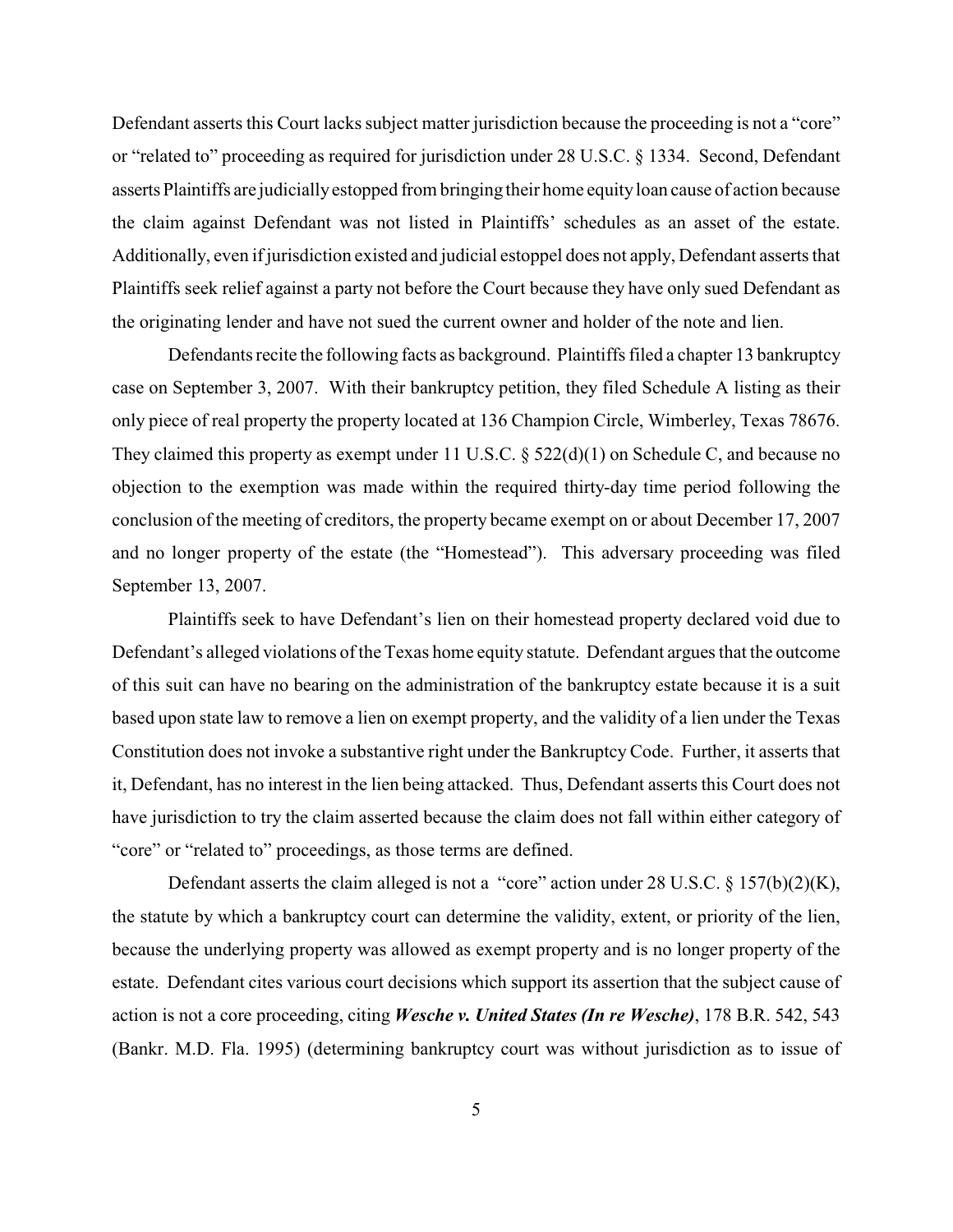Defendant asserts this Court lacks subject matter jurisdiction because the proceeding is not a "core" or "related to" proceeding as required for jurisdiction under 28 U.S.C. § 1334. Second, Defendant asserts Plaintiffs are judicially estopped from bringing their home equity loan cause of action because the claim against Defendant was not listed in Plaintiffs' schedules as an asset of the estate. Additionally, even if jurisdiction existed and judicial estoppel does not apply, Defendant asserts that Plaintiffs seek relief against a party not before the Court because they have only sued Defendant as the originating lender and have not sued the current owner and holder of the note and lien.

Defendants recite the following facts as background. Plaintiffs filed a chapter 13 bankruptcy case on September 3, 2007. With their bankruptcy petition, they filed Schedule A listing as their only piece of real property the property located at 136 Champion Circle, Wimberley, Texas 78676. They claimed this property as exempt under 11 U.S.C. § 522(d)(1) on Schedule C, and because no objection to the exemption was made within the required thirty-day time period following the conclusion of the meeting of creditors, the property became exempt on or about December 17, 2007 and no longer property of the estate (the "Homestead"). This adversary proceeding was filed September 13, 2007.

Plaintiffs seek to have Defendant's lien on their homestead property declared void due to Defendant's alleged violations of the Texas home equity statute. Defendant argues that the outcome of this suit can have no bearing on the administration of the bankruptcy estate because it is a suit based upon state law to remove a lien on exempt property, and the validity of a lien under the Texas Constitution does not invoke a substantive right under the Bankruptcy Code. Further, it asserts that it, Defendant, has no interest in the lien being attacked. Thus, Defendant asserts this Court does not have jurisdiction to try the claim asserted because the claim does not fall within either category of "core" or "related to" proceedings, as those terms are defined.

Defendant asserts the claim alleged is not a "core" action under 28 U.S.C. § 157(b)(2)(K), the statute by which a bankruptcy court can determine the validity, extent, or priority of the lien, because the underlying property was allowed as exempt property and is no longer property of the estate. Defendant cites various court decisions which support its assertion that the subject cause of action is not a core proceeding, citing *Wesche v. United States (In re Wesche)*, 178 B.R. 542, 543 (Bankr. M.D. Fla. 1995) (determining bankruptcy court was without jurisdiction as to issue of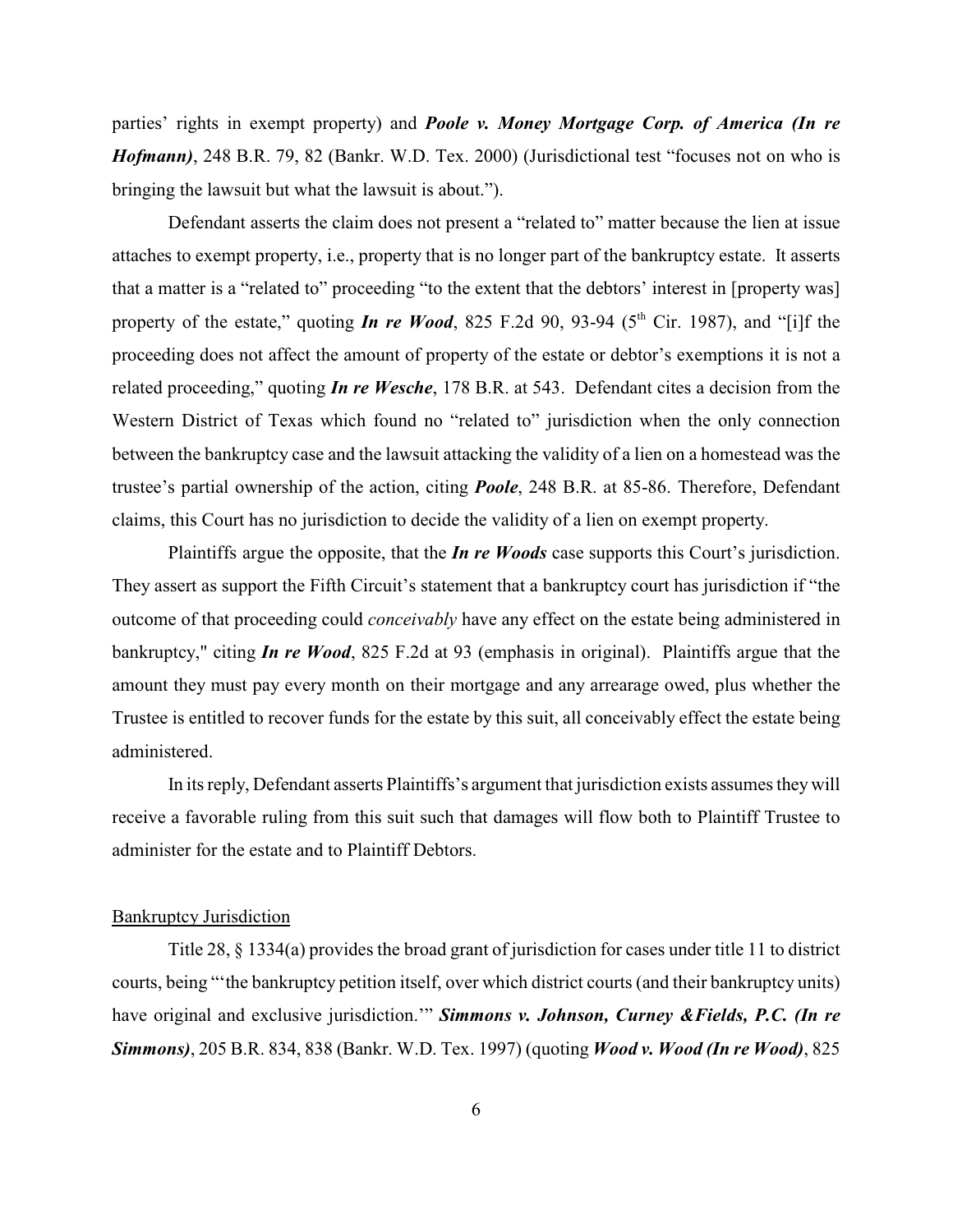parties' rights in exempt property) and *Poole v. Money Mortgage Corp. of America (In re Hofmann)*, 248 B.R. 79, 82 (Bankr. W.D. Tex. 2000) (Jurisdictional test "focuses not on who is bringing the lawsuit but what the lawsuit is about.").

Defendant asserts the claim does not present a "related to" matter because the lien at issue attaches to exempt property, i.e., property that is no longer part of the bankruptcy estate. It asserts that a matter is a "related to" proceeding "to the extent that the debtors' interest in [property was] property of the estate," quoting *In re Wood*, 825 F.2d 90, 93-94 ( $5<sup>th</sup>$  Cir. 1987), and "[i]f the proceeding does not affect the amount of property of the estate or debtor's exemptions it is not a related proceeding," quoting *In re Wesche*, 178 B.R. at 543. Defendant cites a decision from the Western District of Texas which found no "related to" jurisdiction when the only connection between the bankruptcy case and the lawsuit attacking the validity of a lien on a homestead was the trustee's partial ownership of the action, citing *Poole*, 248 B.R. at 85-86. Therefore, Defendant claims, this Court has no jurisdiction to decide the validity of a lien on exempt property.

Plaintiffs argue the opposite, that the *In re Woods* case supports this Court's jurisdiction. They assert as support the Fifth Circuit's statement that a bankruptcy court has jurisdiction if "the outcome of that proceeding could *conceivably* have any effect on the estate being administered in bankruptcy," citing *In re Wood*, 825 F.2d at 93 (emphasis in original). Plaintiffs argue that the amount they must pay every month on their mortgage and any arrearage owed, plus whether the Trustee is entitled to recover funds for the estate by this suit, all conceivably effect the estate being administered.

In its reply, Defendant asserts Plaintiffs's argument that jurisdiction exists assumes they will receive a favorable ruling from this suit such that damages will flow both to Plaintiff Trustee to administer for the estate and to Plaintiff Debtors.

### Bankruptcy Jurisdiction

Title 28, § 1334(a) provides the broad grant of jurisdiction for cases under title 11 to district courts, being "'the bankruptcy petition itself, over which district courts (and their bankruptcy units) have original and exclusive jurisdiction.'" *Simmons v. Johnson, Curney &Fields, P.C. (In re Simmons)*, 205 B.R. 834, 838 (Bankr. W.D. Tex. 1997) (quoting *Wood v. Wood (In re Wood)*, 825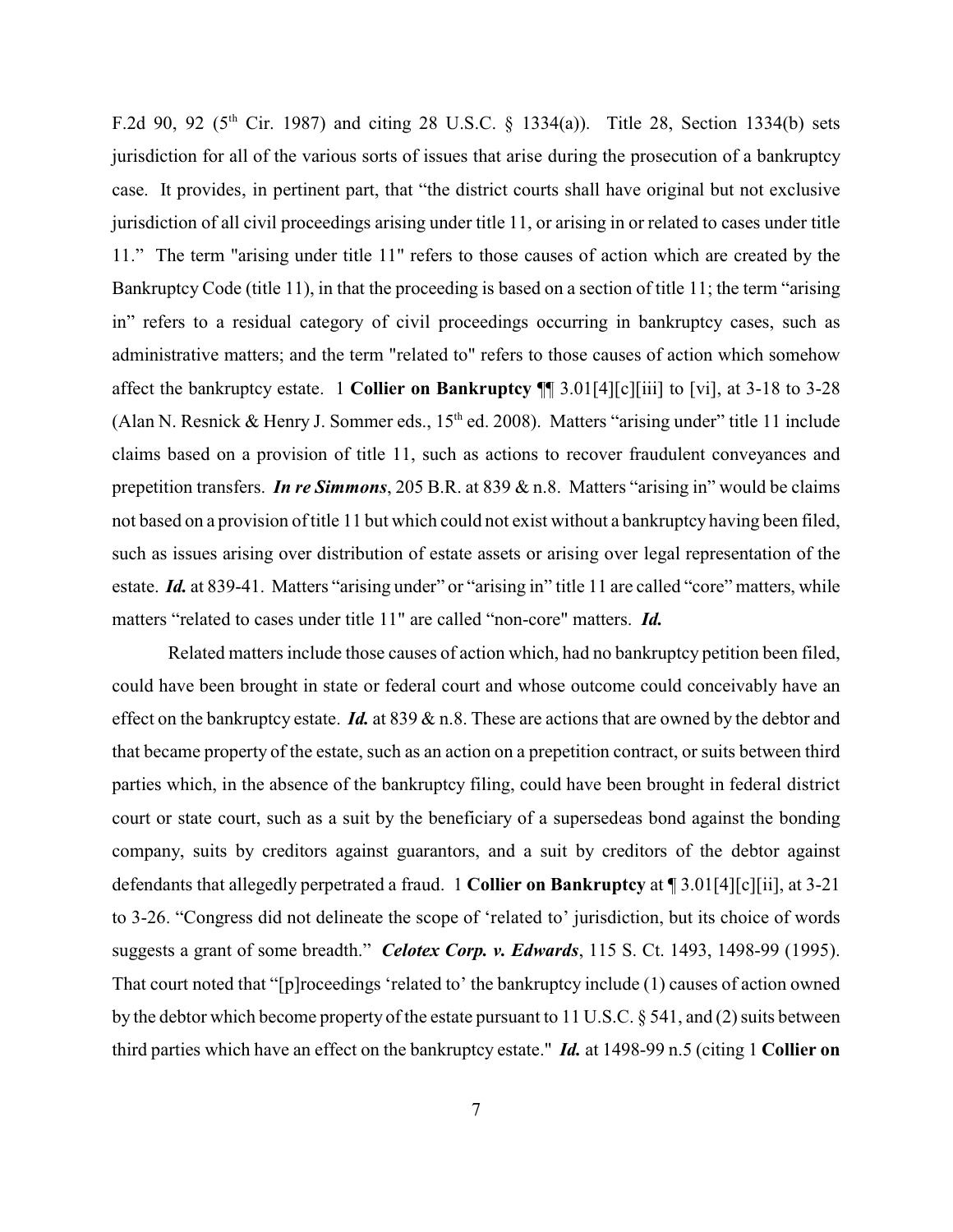F.2d 90, 92 ( $5<sup>th</sup>$  Cir. 1987) and citing 28 U.S.C. § 1334(a)). Title 28, Section 1334(b) sets jurisdiction for all of the various sorts of issues that arise during the prosecution of a bankruptcy case. It provides, in pertinent part, that "the district courts shall have original but not exclusive jurisdiction of all civil proceedings arising under title 11, or arising in or related to cases under title 11." The term "arising under title 11" refers to those causes of action which are created by the Bankruptcy Code (title 11), in that the proceeding is based on a section of title 11; the term "arising in" refers to a residual category of civil proceedings occurring in bankruptcy cases, such as administrative matters; and the term "related to" refers to those causes of action which somehow affect the bankruptcy estate. 1 **Collier on Bankruptcy** ¶¶ 3.01[4][c][iii] to [vi], at 3-18 to 3-28 (Alan N. Resnick & Henry J. Sommer eds.,  $15<sup>th</sup>$  ed. 2008). Matters "arising under" title 11 include claims based on a provision of title 11, such as actions to recover fraudulent conveyances and prepetition transfers. *In re Simmons*, 205 B.R. at 839 & n.8. Matters "arising in" would be claims not based on a provision of title 11 but which could not exist without a bankruptcy having been filed, such as issues arising over distribution of estate assets or arising over legal representation of the estate. *Id.* at 839-41. Matters "arising under" or "arising in" title 11 are called "core" matters, while matters "related to cases under title 11" are called "non-core" matters. *Id.*

Related matters include those causes of action which, had no bankruptcy petition been filed, could have been brought in state or federal court and whose outcome could conceivably have an effect on the bankruptcy estate. *Id.* at 839 & n.8. These are actions that are owned by the debtor and that became property of the estate, such as an action on a prepetition contract, or suits between third parties which, in the absence of the bankruptcy filing, could have been brought in federal district court or state court, such as a suit by the beneficiary of a supersedeas bond against the bonding company, suits by creditors against guarantors, and a suit by creditors of the debtor against defendants that allegedly perpetrated a fraud. 1 **Collier on Bankruptcy** at ¶ 3.01[4][c][ii], at 3-21 to 3-26. "Congress did not delineate the scope of 'related to' jurisdiction, but its choice of words suggests a grant of some breadth." *Celotex Corp. v. Edwards*, 115 S. Ct. 1493, 1498-99 (1995). That court noted that "[p]roceedings 'related to' the bankruptcy include (1) causes of action owned by the debtor which become property of the estate pursuant to 11 U.S.C. § 541, and (2) suits between third parties which have an effect on the bankruptcy estate." *Id.* at 1498-99 n.5 (citing 1 **Collier on**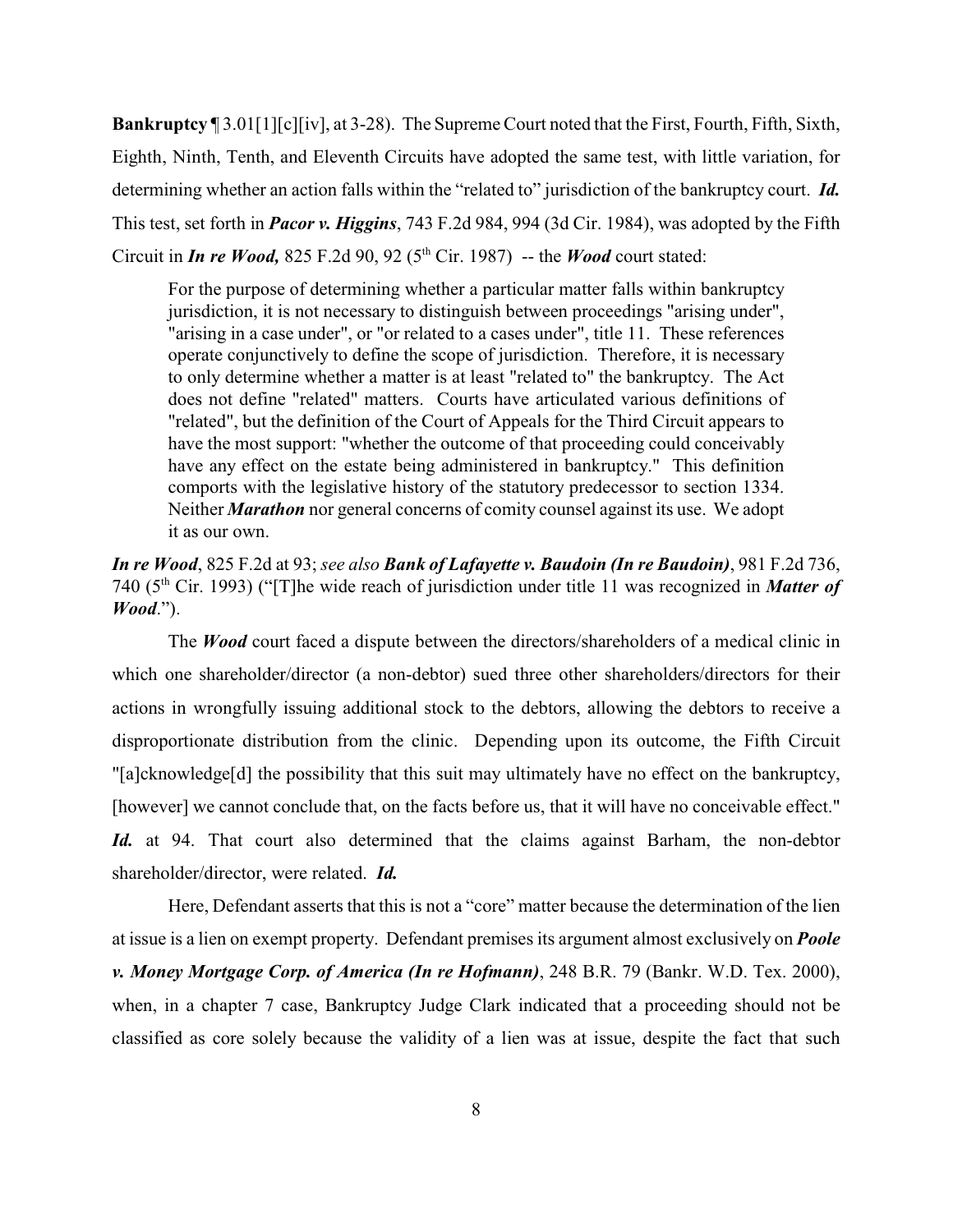**Bankruptcy** ¶ 3.01[1][c][iv], at 3-28). The Supreme Court noted that the First, Fourth, Fifth, Sixth, Eighth, Ninth, Tenth, and Eleventh Circuits have adopted the same test, with little variation, for determining whether an action falls within the "related to" jurisdiction of the bankruptcy court. *Id.* This test, set forth in *Pacor v. Higgins*, 743 F.2d 984, 994 (3d Cir. 1984), was adopted by the Fifth Circuit in *In re Wood*, 825 F.2d 90, 92 ( $5<sup>th</sup>$  Cir. 1987) -- the *Wood* court stated:

For the purpose of determining whether a particular matter falls within bankruptcy jurisdiction, it is not necessary to distinguish between proceedings "arising under", "arising in a case under", or "or related to a cases under", title 11. These references operate conjunctively to define the scope of jurisdiction. Therefore, it is necessary to only determine whether a matter is at least "related to" the bankruptcy. The Act does not define "related" matters. Courts have articulated various definitions of "related", but the definition of the Court of Appeals for the Third Circuit appears to have the most support: "whether the outcome of that proceeding could conceivably have any effect on the estate being administered in bankruptcy." This definition comports with the legislative history of the statutory predecessor to section 1334. Neither *Marathon* nor general concerns of comity counsel against its use. We adopt it as our own.

*In re Wood*, 825 F.2d at 93; *see also Bank of Lafayette v. Baudoin (In re Baudoin)*, 981 F.2d 736, 740 (5<sup>th</sup> Cir. 1993) ("[T]he wide reach of jurisdiction under title 11 was recognized in **Matter of** *Wood*.").

The *Wood* court faced a dispute between the directors/shareholders of a medical clinic in which one shareholder/director (a non-debtor) sued three other shareholders/directors for their actions in wrongfully issuing additional stock to the debtors, allowing the debtors to receive a disproportionate distribution from the clinic. Depending upon its outcome, the Fifth Circuit "[a]cknowledge[d] the possibility that this suit may ultimately have no effect on the bankruptcy, [however] we cannot conclude that, on the facts before us, that it will have no conceivable effect." Id. at 94. That court also determined that the claims against Barham, the non-debtor shareholder/director, were related. *Id.*

Here, Defendant asserts that this is not a "core" matter because the determination of the lien at issue is a lien on exempt property. Defendant premises its argument almost exclusively on *Poole v. Money Mortgage Corp. of America (In re Hofmann)*, 248 B.R. 79 (Bankr. W.D. Tex. 2000), when, in a chapter 7 case, Bankruptcy Judge Clark indicated that a proceeding should not be classified as core solely because the validity of a lien was at issue, despite the fact that such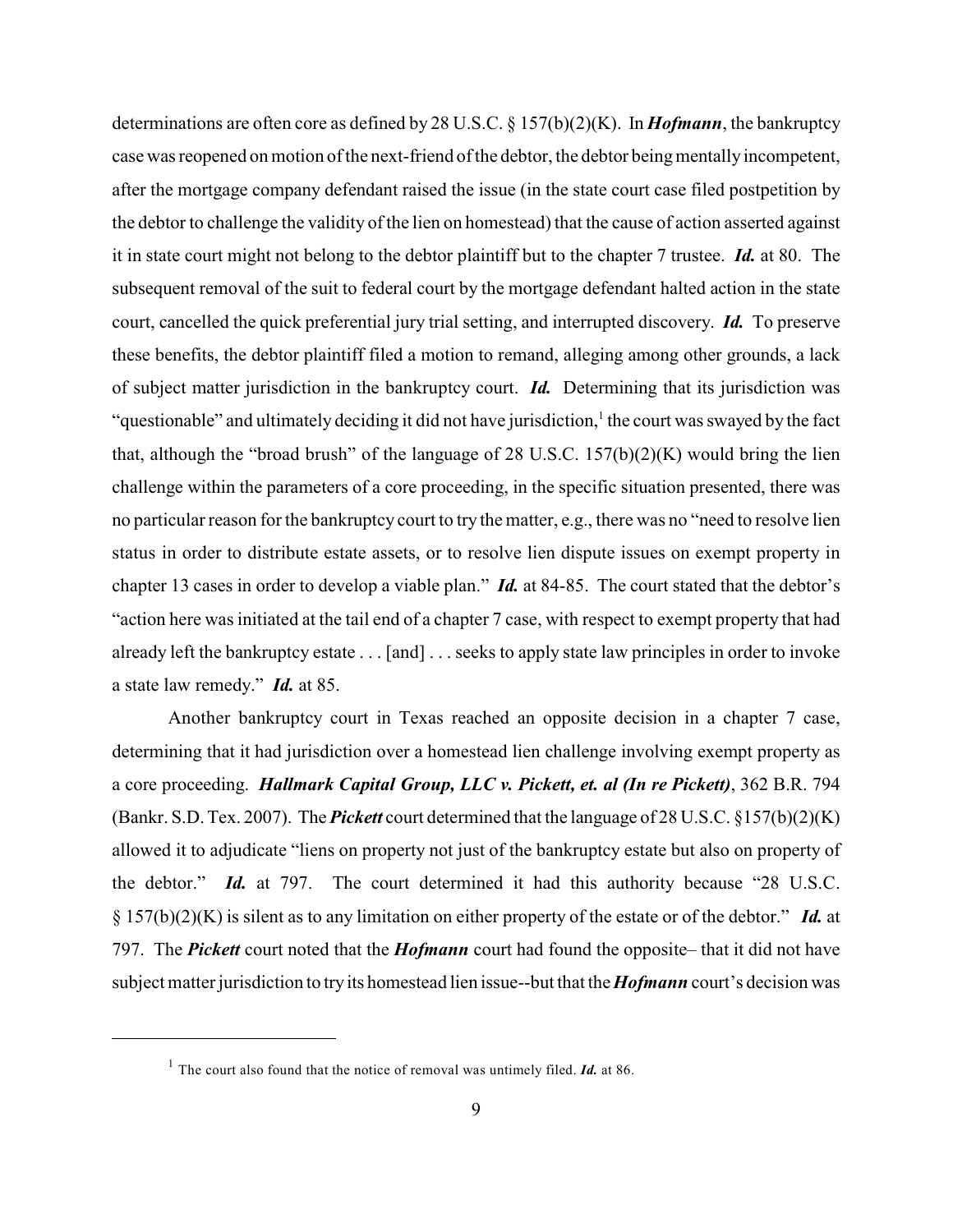determinations are often core as defined by 28 U.S.C. § 157(b)(2)(K). In *Hofmann*, the bankruptcy case was reopened on motion of the next-friend of the debtor, the debtor being mentally incompetent, after the mortgage company defendant raised the issue (in the state court case filed postpetition by the debtor to challenge the validity of the lien on homestead) that the cause of action asserted against it in state court might not belong to the debtor plaintiff but to the chapter 7 trustee. *Id.* at 80. The subsequent removal of the suit to federal court by the mortgage defendant halted action in the state court, cancelled the quick preferential jury trial setting, and interrupted discovery. *Id.* To preserve these benefits, the debtor plaintiff filed a motion to remand, alleging among other grounds, a lack of subject matter jurisdiction in the bankruptcy court. *Id.* Determining that its jurisdiction was "questionable" and ultimately deciding it did not have jurisdiction,  $\frac{1}{1}$  the court was swayed by the fact that, although the "broad brush" of the language of 28 U.S.C.  $157(b)(2)(K)$  would bring the lien challenge within the parameters of a core proceeding, in the specific situation presented, there was no particular reason for the bankruptcy court to try the matter, e.g., there was no "need to resolve lien status in order to distribute estate assets, or to resolve lien dispute issues on exempt property in chapter 13 cases in order to develop a viable plan." *Id.* at 84-85. The court stated that the debtor's "action here was initiated at the tail end of a chapter 7 case, with respect to exempt property that had already left the bankruptcy estate . . . [and] . . . seeks to apply state law principles in order to invoke a state law remedy." *Id.* at 85.

Another bankruptcy court in Texas reached an opposite decision in a chapter 7 case, determining that it had jurisdiction over a homestead lien challenge involving exempt property as a core proceeding. *Hallmark Capital Group, LLC v. Pickett, et. al (In re Pickett)*, 362 B.R. 794 (Bankr. S.D. Tex. 2007). The *Pickett* court determined that the language of 28 U.S.C. §157(b)(2)(K) allowed it to adjudicate "liens on property not just of the bankruptcy estate but also on property of the debtor." *Id.* at 797. The court determined it had this authority because "28 U.S.C. § 157(b)(2)(K) is silent as to any limitation on either property of the estate or of the debtor." *Id.* at 797. The *Pickett* court noted that the *Hofmann* court had found the opposite– that it did not have subject matter jurisdiction to try its homestead lien issue--but that the *Hofmann* court's decision was

<sup>&</sup>lt;sup>1</sup> The court also found that the notice of removal was untimely filed.  $\mathbf{Id}$  at 86.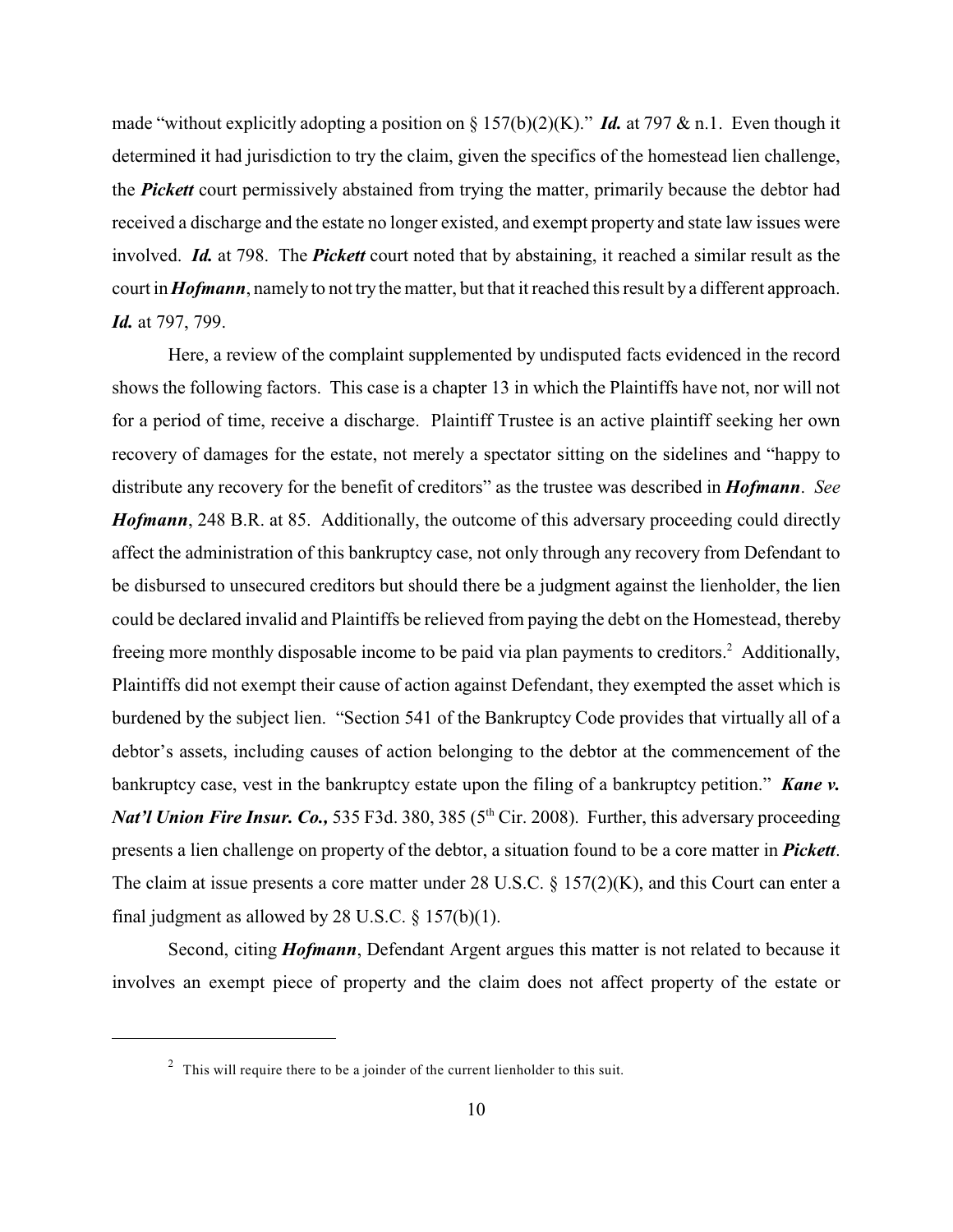made "without explicitly adopting a position on § 157(b)(2)(K)." *Id.* at 797 & n.1. Even though it determined it had jurisdiction to try the claim, given the specifics of the homestead lien challenge, the *Pickett* court permissively abstained from trying the matter, primarily because the debtor had received a discharge and the estate no longer existed, and exempt property and state law issues were involved. *Id.* at 798. The *Pickett* court noted that by abstaining, it reached a similar result as the court in *Hofmann*, namely to not try the matter, but that it reached this result by a different approach. *Id.* at 797, 799.

Here, a review of the complaint supplemented by undisputed facts evidenced in the record shows the following factors. This case is a chapter 13 in which the Plaintiffs have not, nor will not for a period of time, receive a discharge. Plaintiff Trustee is an active plaintiff seeking her own recovery of damages for the estate, not merely a spectator sitting on the sidelines and "happy to distribute any recovery for the benefit of creditors" as the trustee was described in *Hofmann*. *See Hofmann*, 248 B.R. at 85. Additionally, the outcome of this adversary proceeding could directly affect the administration of this bankruptcy case, not only through any recovery from Defendant to be disbursed to unsecured creditors but should there be a judgment against the lienholder, the lien could be declared invalid and Plaintiffs be relieved from paying the debt on the Homestead, thereby freeing more monthly disposable income to be paid via plan payments to creditors.<sup>2</sup> Additionally, Plaintiffs did not exempt their cause of action against Defendant, they exempted the asset which is burdened by the subject lien. "Section 541 of the Bankruptcy Code provides that virtually all of a debtor's assets, including causes of action belonging to the debtor at the commencement of the bankruptcy case, vest in the bankruptcy estate upon the filing of a bankruptcy petition." **Kane v.** *Nat'l Union Fire Insur. Co.*, 535 F3d. 380, 385 ( $5<sup>th</sup> Cir. 2008$ ). Further, this adversary proceeding presents a lien challenge on property of the debtor, a situation found to be a core matter in *Pickett*. The claim at issue presents a core matter under 28 U.S.C. § 157(2)(K), and this Court can enter a final judgment as allowed by 28 U.S.C.  $\S$  157(b)(1).

Second, citing *Hofmann*, Defendant Argent argues this matter is not related to because it involves an exempt piece of property and the claim does not affect property of the estate or

 $\frac{2}{3}$  This will require there to be a joinder of the current lienholder to this suit.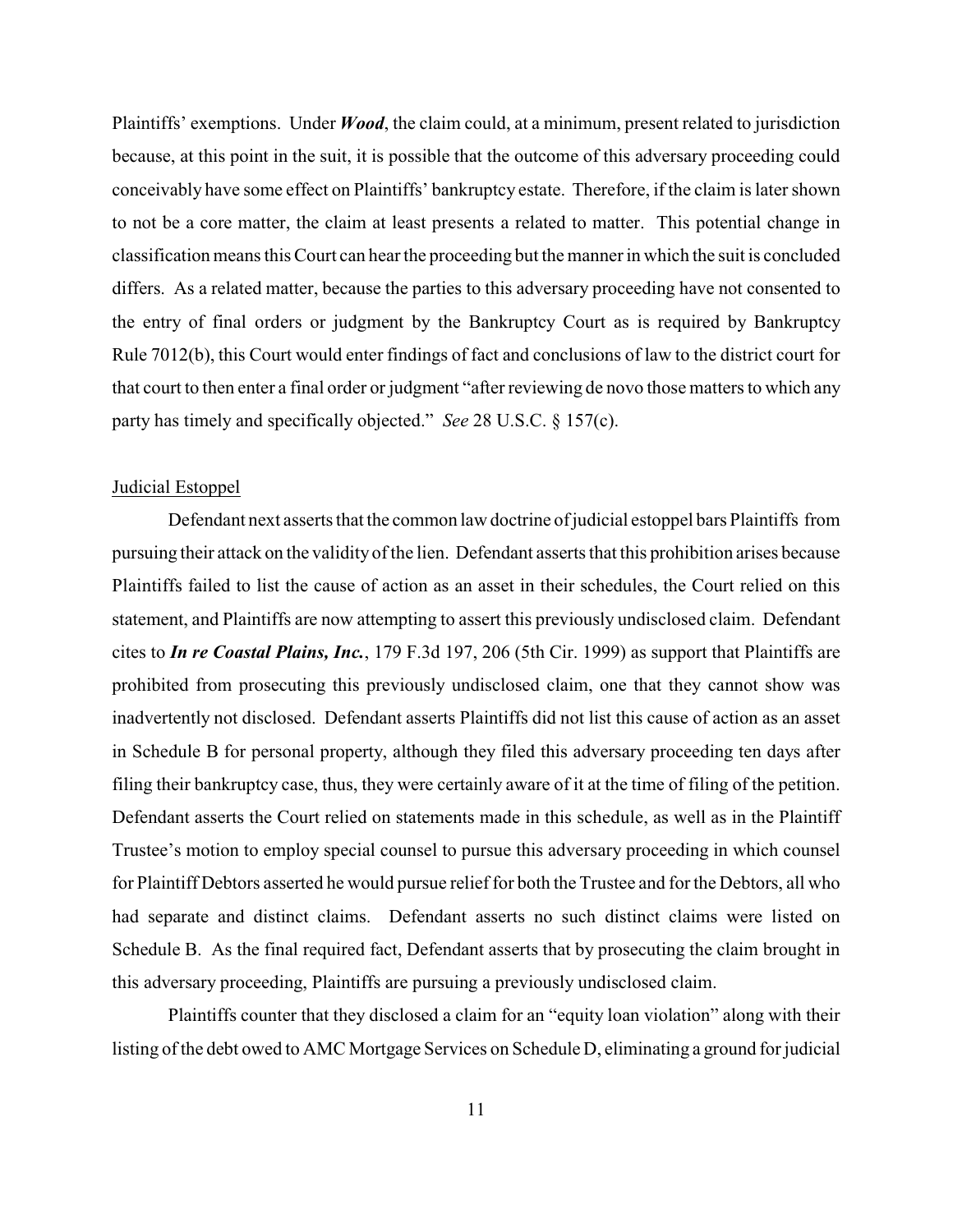Plaintiffs' exemptions. Under *Wood*, the claim could, at a minimum, present related to jurisdiction because, at this point in the suit, it is possible that the outcome of this adversary proceeding could conceivably have some effect on Plaintiffs' bankruptcy estate. Therefore, if the claim is later shown to not be a core matter, the claim at least presents a related to matter. This potential change in classification means this Court can hear the proceeding but the manner in which the suit is concluded differs. As a related matter, because the parties to this adversary proceeding have not consented to the entry of final orders or judgment by the Bankruptcy Court as is required by Bankruptcy Rule 7012(b), this Court would enter findings of fact and conclusions of law to the district court for that court to then enter a final order or judgment "after reviewing de novo those matters to which any party has timely and specifically objected." *See* 28 U.S.C. § 157(c).

#### Judicial Estoppel

Defendant next asserts that the common law doctrine of judicial estoppel bars Plaintiffs from pursuing their attack on the validity ofthe lien. Defendant asserts that this prohibition arises because Plaintiffs failed to list the cause of action as an asset in their schedules, the Court relied on this statement, and Plaintiffs are now attempting to assert this previously undisclosed claim. Defendant cites to *In re Coastal Plains, Inc.*, 179 F.3d 197, 206 (5th Cir. 1999) as support that Plaintiffs are prohibited from prosecuting this previously undisclosed claim, one that they cannot show was inadvertently not disclosed. Defendant asserts Plaintiffs did not list this cause of action as an asset in Schedule B for personal property, although they filed this adversary proceeding ten days after filing their bankruptcy case, thus, they were certainly aware of it at the time of filing of the petition. Defendant asserts the Court relied on statements made in this schedule, as well as in the Plaintiff Trustee's motion to employ special counsel to pursue this adversary proceeding in which counsel for Plaintiff Debtors asserted he would pursue relief for both the Trustee and for the Debtors, all who had separate and distinct claims. Defendant asserts no such distinct claims were listed on Schedule B. As the final required fact, Defendant asserts that by prosecuting the claim brought in this adversary proceeding, Plaintiffs are pursuing a previously undisclosed claim.

Plaintiffs counter that they disclosed a claim for an "equity loan violation" along with their listing of the debt owed to AMC Mortgage Services on Schedule D, eliminating a ground for judicial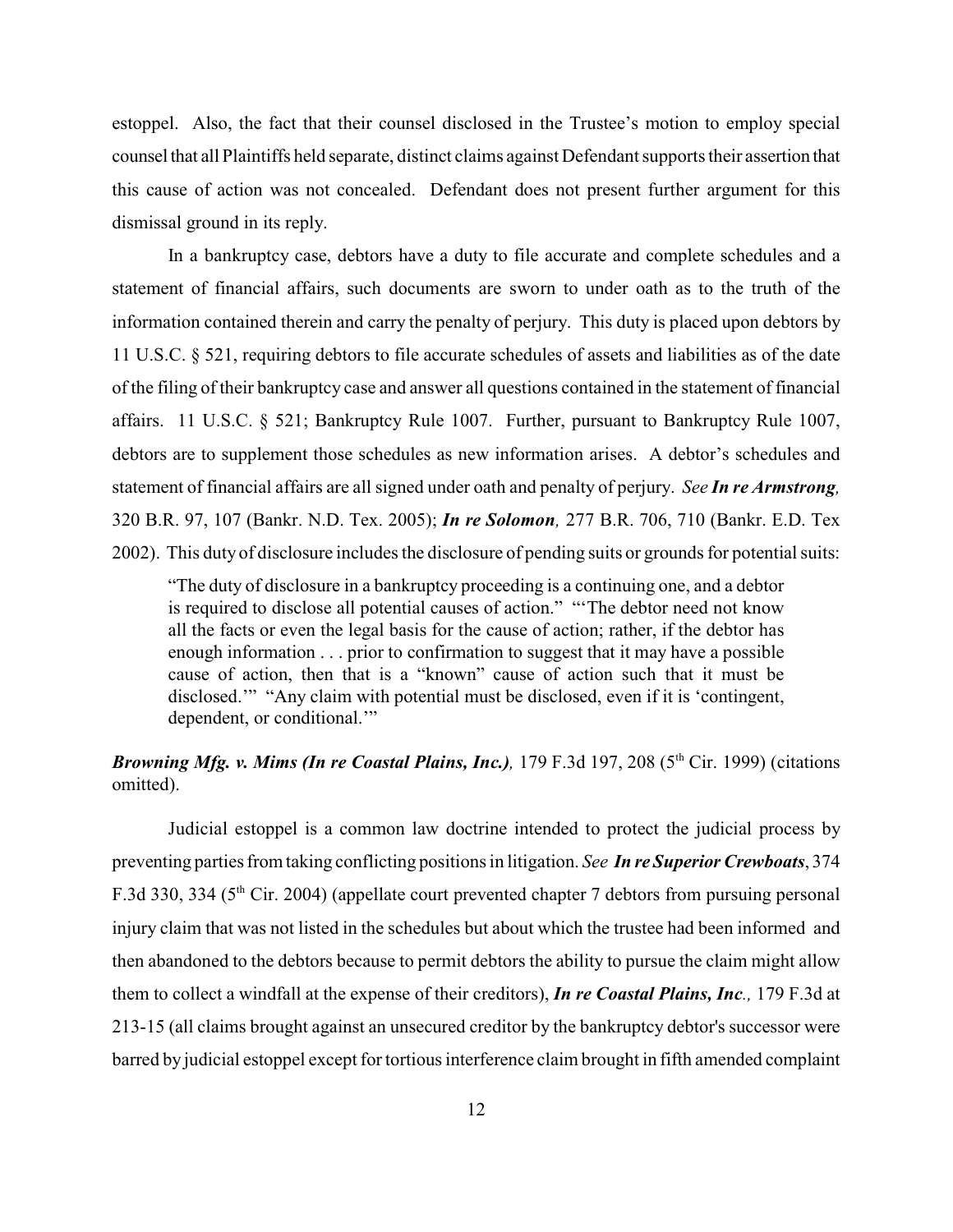estoppel. Also, the fact that their counsel disclosed in the Trustee's motion to employ special counsel that all Plaintiffs held separate, distinct claims against Defendant supports their assertion that this cause of action was not concealed. Defendant does not present further argument for this dismissal ground in its reply.

In a bankruptcy case, debtors have a duty to file accurate and complete schedules and a statement of financial affairs, such documents are sworn to under oath as to the truth of the information contained therein and carry the penalty of perjury. This duty is placed upon debtors by 11 U.S.C. § 521, requiring debtors to file accurate schedules of assets and liabilities as of the date of the filing of their bankruptcy case and answer all questions contained in the statement of financial affairs. 11 U.S.C. § 521; Bankruptcy Rule 1007. Further, pursuant to Bankruptcy Rule 1007, debtors are to supplement those schedules as new information arises. A debtor's schedules and statement of financial affairs are all signed under oath and penalty of perjury. *See In re Armstrong,* 320 B.R. 97, 107 (Bankr. N.D. Tex. 2005); *In re Solomon,* 277 B.R. 706, 710 (Bankr. E.D. Tex 2002). This duty of disclosure includes the disclosure of pending suits or grounds for potential suits:

"The duty of disclosure in a bankruptcy proceeding is a continuing one, and a debtor is required to disclose all potential causes of action." "'The debtor need not know all the facts or even the legal basis for the cause of action; rather, if the debtor has enough information . . . prior to confirmation to suggest that it may have a possible cause of action, then that is a "known" cause of action such that it must be disclosed.'" "Any claim with potential must be disclosed, even if it is 'contingent, dependent, or conditional."

# *Browning Mfg. v. Mims (In re Coastal Plains, Inc.)*, 179 F.3d 197, 208 ( $5<sup>th</sup> Cir.$  1999) (citations omitted).

Judicial estoppel is a common law doctrine intended to protect the judicial process by preventing parties from taking conflicting positions in litigation. *See In re Superior Crewboats*, 374 F.3d 330, 334 (5<sup>th</sup> Cir. 2004) (appellate court prevented chapter 7 debtors from pursuing personal injury claim that was not listed in the schedules but about which the trustee had been informed and then abandoned to the debtors because to permit debtors the ability to pursue the claim might allow them to collect a windfall at the expense of their creditors), *In re Coastal Plains, Inc.,* 179 F.3d at 213-15 (all claims brought against an unsecured creditor by the bankruptcy debtor's successor were barred by judicial estoppel except for tortious interference claim brought in fifth amended complaint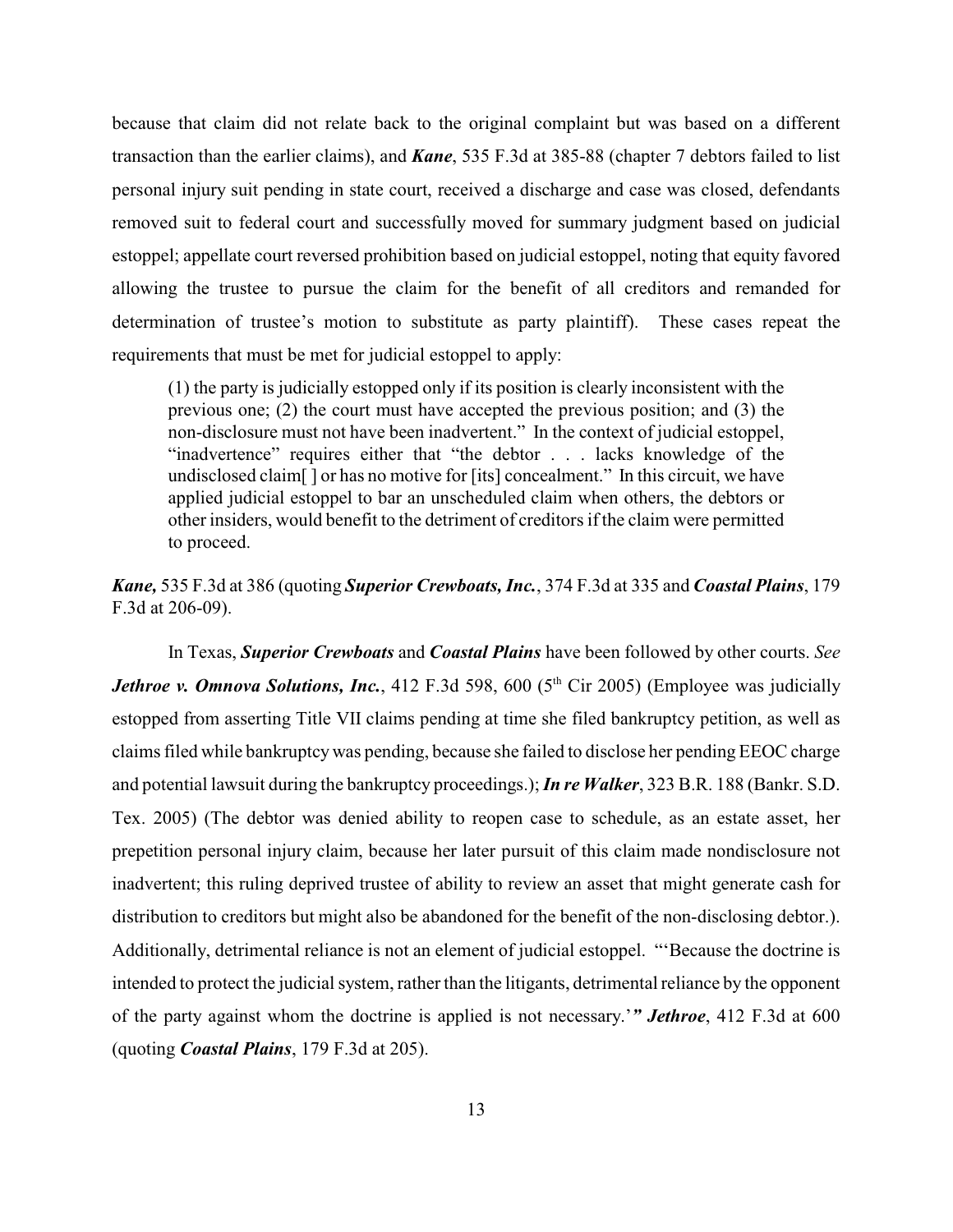because that claim did not relate back to the original complaint but was based on a different transaction than the earlier claims), and *Kane*, 535 F.3d at 385-88 (chapter 7 debtors failed to list personal injury suit pending in state court, received a discharge and case was closed, defendants removed suit to federal court and successfully moved for summary judgment based on judicial estoppel; appellate court reversed prohibition based on judicial estoppel, noting that equity favored allowing the trustee to pursue the claim for the benefit of all creditors and remanded for determination of trustee's motion to substitute as party plaintiff). These cases repeat the requirements that must be met for judicial estoppel to apply:

(1) the party is judicially estopped only if its position is clearly inconsistent with the previous one; (2) the court must have accepted the previous position; and (3) the non-disclosure must not have been inadvertent." In the context of judicial estoppel, "inadvertence" requires either that "the debtor . . . lacks knowledge of the undisclosed claim[ ] or has no motive for [its] concealment." In this circuit, we have applied judicial estoppel to bar an unscheduled claim when others, the debtors or other insiders, would benefit to the detriment of creditors if the claim were permitted to proceed.

*Kane,* 535 F.3d at 386 (quoting *Superior Crewboats, Inc.*, 374 F.3d at 335 and *Coastal Plains*, 179 F.3d at 206-09).

In Texas, *Superior Crewboats* and *Coastal Plains* have been followed by other courts. *See Jethroe v. Omnova Solutions, Inc.*, 412 F.3d 598, 600 (5<sup>th</sup> Cir 2005) (Employee was judicially estopped from asserting Title VII claims pending at time she filed bankruptcy petition, as well as claims filed while bankruptcy was pending, because she failed to disclose her pending EEOC charge and potential lawsuit during the bankruptcy proceedings.);*In re Walker*, 323 B.R. 188 (Bankr. S.D. Tex. 2005) (The debtor was denied ability to reopen case to schedule, as an estate asset, her prepetition personal injury claim, because her later pursuit of this claim made nondisclosure not inadvertent; this ruling deprived trustee of ability to review an asset that might generate cash for distribution to creditors but might also be abandoned for the benefit of the non-disclosing debtor.). Additionally, detrimental reliance is not an element of judicial estoppel. "'Because the doctrine is intended to protect the judicial system, rather than the litigants, detrimental reliance by the opponent of the party against whom the doctrine is applied is not necessary.'*" Jethroe*, 412 F.3d at 600 (quoting *Coastal Plains*, 179 F.3d at 205).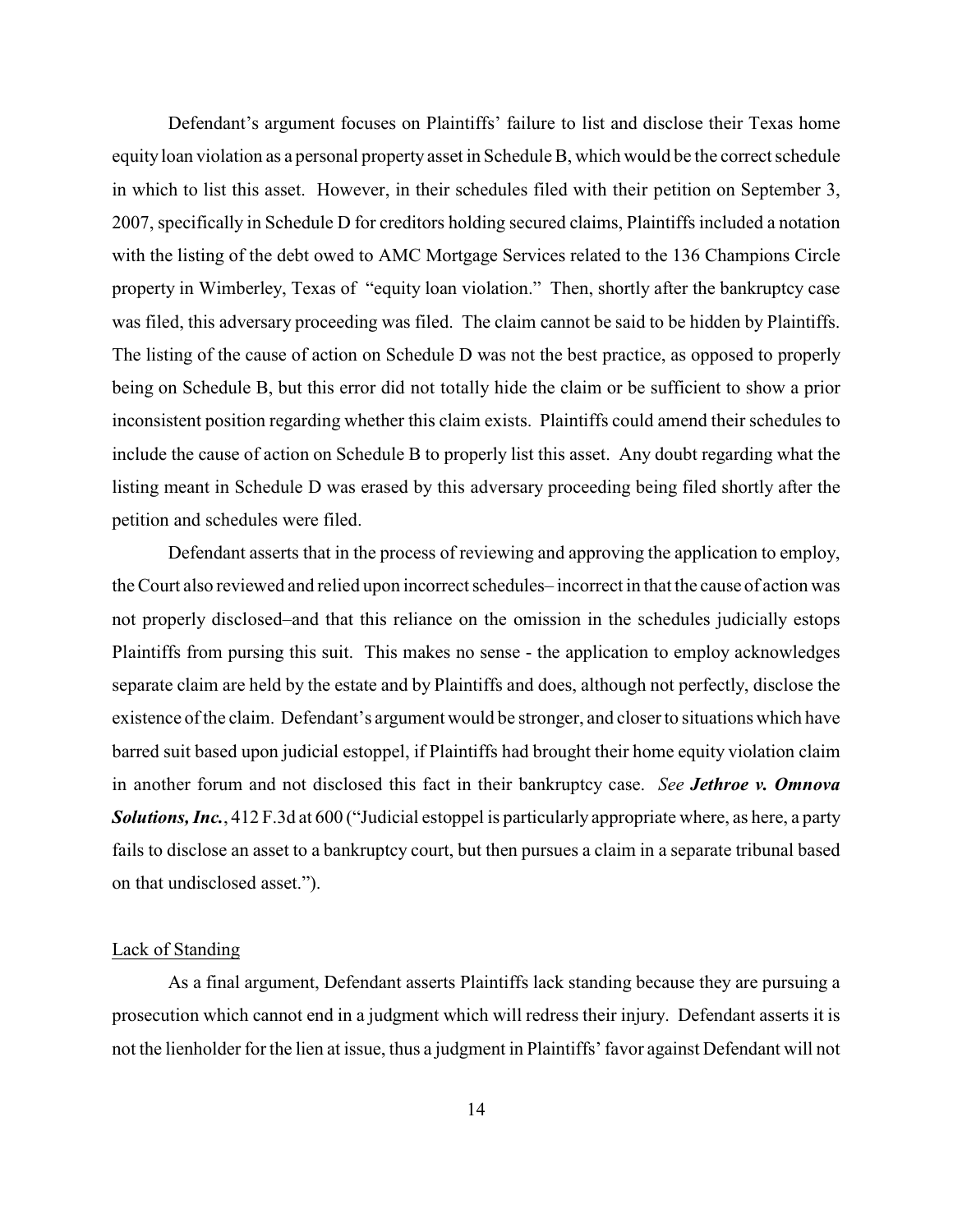Defendant's argument focuses on Plaintiffs' failure to list and disclose their Texas home equity loan violation as a personal property asset in Schedule B, which would be the correct schedule in which to list this asset. However, in their schedules filed with their petition on September 3, 2007, specifically in Schedule D for creditors holding secured claims, Plaintiffs included a notation with the listing of the debt owed to AMC Mortgage Services related to the 136 Champions Circle property in Wimberley, Texas of "equity loan violation." Then, shortly after the bankruptcy case was filed, this adversary proceeding was filed. The claim cannot be said to be hidden by Plaintiffs. The listing of the cause of action on Schedule D was not the best practice, as opposed to properly being on Schedule B, but this error did not totally hide the claim or be sufficient to show a prior inconsistent position regarding whether this claim exists. Plaintiffs could amend their schedules to include the cause of action on Schedule B to properly list this asset. Any doubt regarding what the listing meant in Schedule D was erased by this adversary proceeding being filed shortly after the petition and schedules were filed.

Defendant asserts that in the process of reviewing and approving the application to employ, the Court also reviewed and relied upon incorrect schedules– incorrect in that the cause of action was not properly disclosed–and that this reliance on the omission in the schedules judicially estops Plaintiffs from pursing this suit. This makes no sense - the application to employ acknowledges separate claim are held by the estate and by Plaintiffs and does, although not perfectly, disclose the existence of the claim. Defendant's argument would be stronger, and closer to situations which have barred suit based upon judicial estoppel, if Plaintiffs had brought their home equity violation claim in another forum and not disclosed this fact in their bankruptcy case. *See Jethroe v. Omnova Solutions, Inc.*, 412 F.3d at 600 ("Judicial estoppel is particularly appropriate where, as here, a party fails to disclose an asset to a bankruptcy court, but then pursues a claim in a separate tribunal based on that undisclosed asset.").

### Lack of Standing

As a final argument, Defendant asserts Plaintiffs lack standing because they are pursuing a prosecution which cannot end in a judgment which will redress their injury. Defendant asserts it is not the lienholder for the lien at issue, thus a judgment in Plaintiffs' favor against Defendant will not